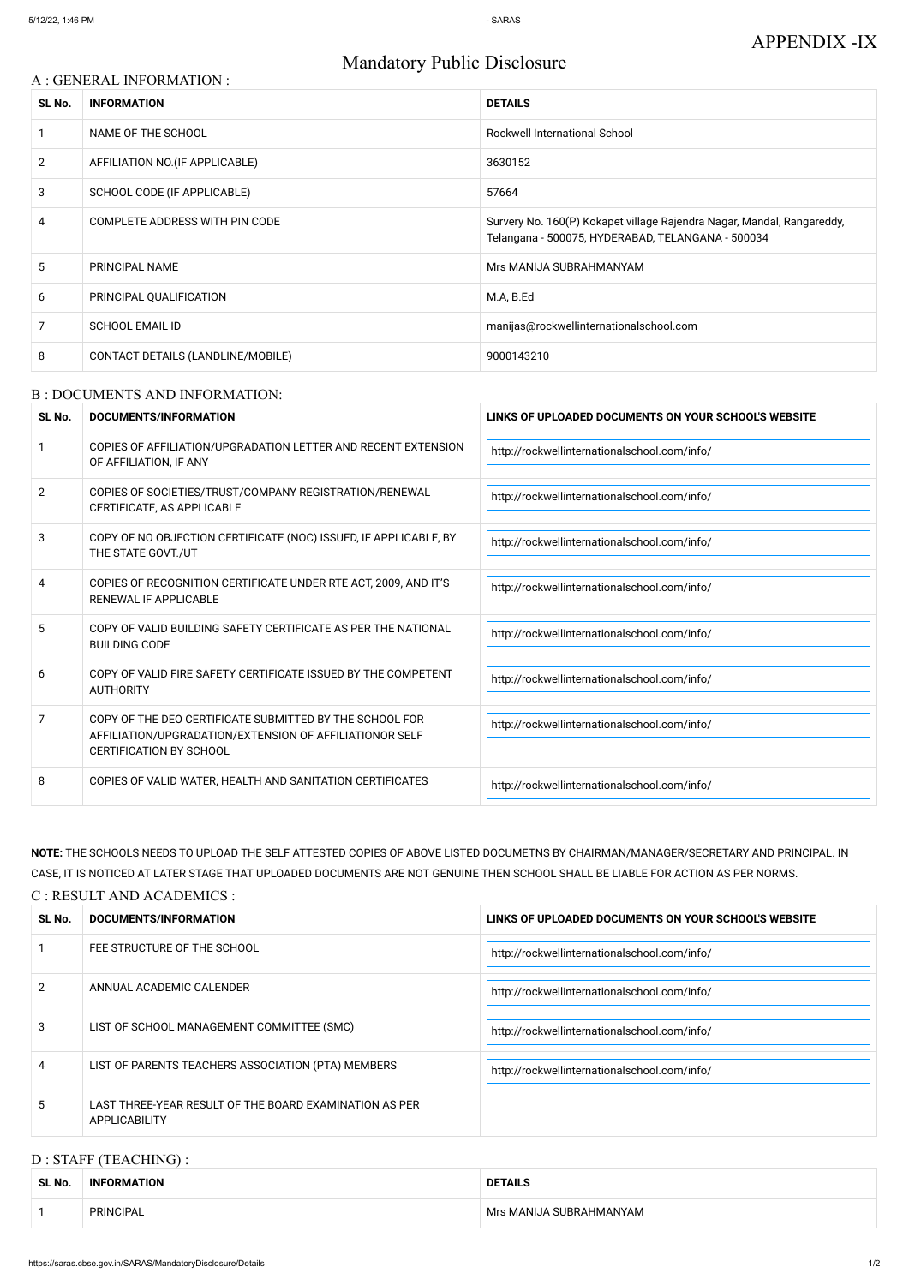# Mandatory Public Disclosure

#### A : GENERAL INFORMATION :

| SL No.         | <b>INFORMATION</b>                | <b>DETAILS</b>                                                                                                              |
|----------------|-----------------------------------|-----------------------------------------------------------------------------------------------------------------------------|
|                | NAME OF THE SCHOOL                | <b>Rockwell International School</b>                                                                                        |
| $\overline{2}$ | AFFILIATION NO. (IF APPLICABLE)   | 3630152                                                                                                                     |
| 3              | SCHOOL CODE (IF APPLICABLE)       | 57664                                                                                                                       |
| 4              | COMPLETE ADDRESS WITH PIN CODE    | Survery No. 160(P) Kokapet village Rajendra Nagar, Mandal, Rangareddy,<br>Telangana - 500075, HYDERABAD, TELANGANA - 500034 |
| 5              | <b>PRINCIPAL NAME</b>             | Mrs MANIJA SUBRAHMANYAM                                                                                                     |
| 6              | PRINCIPAL QUALIFICATION           | M.A, B.Ed                                                                                                                   |
| 7              | <b>SCHOOL EMAIL ID</b>            | manijas@rockwellinternationalschool.com                                                                                     |
| 8              | CONTACT DETAILS (LANDLINE/MOBILE) | 9000143210                                                                                                                  |

#### B : DOCUMENTS AND INFORMATION:

| SL No.         | <b>DOCUMENTS/INFORMATION</b>                                                                                                                         | LINKS OF UPLOADED DOCUMENTS ON YOUR SCHOOL'S WEBSITE |  |
|----------------|------------------------------------------------------------------------------------------------------------------------------------------------------|------------------------------------------------------|--|
|                | COPIES OF AFFILIATION/UPGRADATION LETTER AND RECENT EXTENSION<br>OF AFFILIATION, IF ANY                                                              | http://rockwellinternationalschool.com/info/         |  |
| $\overline{2}$ | COPIES OF SOCIETIES/TRUST/COMPANY REGISTRATION/RENEWAL<br>CERTIFICATE, AS APPLICABLE                                                                 | http://rockwellinternationalschool.com/info/         |  |
| 3              | COPY OF NO OBJECTION CERTIFICATE (NOC) ISSUED, IF APPLICABLE, BY<br>THE STATE GOVT./UT                                                               | http://rockwellinternationalschool.com/info/         |  |
| 4              | COPIES OF RECOGNITION CERTIFICATE UNDER RTE ACT, 2009, AND IT'S<br>RENEWAL IF APPLICABLE                                                             | http://rockwellinternationalschool.com/info/         |  |
| 5              | COPY OF VALID BUILDING SAFETY CERTIFICATE AS PER THE NATIONAL<br><b>BUILDING CODE</b>                                                                | http://rockwellinternationalschool.com/info/         |  |
| 6              | COPY OF VALID FIRE SAFETY CERTIFICATE ISSUED BY THE COMPETENT<br><b>AUTHORITY</b>                                                                    | http://rockwellinternationalschool.com/info/         |  |
| 7              | COPY OF THE DEO CERTIFICATE SUBMITTED BY THE SCHOOL FOR<br>AFFILIATION/UPGRADATION/EXTENSION OF AFFILIATIONOR SELF<br><b>CERTIFICATION BY SCHOOL</b> | http://rockwellinternationalschool.com/info/         |  |
| 8              | COPIES OF VALID WATER, HEALTH AND SANITATION CERTIFICATES                                                                                            | http://rockwellinternationalschool.com/info/         |  |

**NOTE:** THE SCHOOLS NEEDS TO UPLOAD THE SELF ATTESTED COPIES OF ABOVE LISTED DOCUMETNS BY CHAIRMAN/MANAGER/SECRETARY AND PRINCIPAL. IN CASE, IT IS NOTICED AT LATER STAGE THAT UPLOADED DOCUMENTS ARE NOT GENUINE THEN SCHOOL SHALL BE LIABLE FOR ACTION AS PER NORMS.

| C: RESULT AND ACADEMICS:        |  |                             |                                                      |  |
|---------------------------------|--|-----------------------------|------------------------------------------------------|--|
| SL No.<br>DOCUMENTS/INFORMATION |  |                             | LINKS OF UPLOADED DOCUMENTS ON YOUR SCHOOL'S WEBSITE |  |
|                                 |  | FEE STRUCTURE OF THE SCHOOL | http://rockwellinternationalschool.com/info/         |  |

| 2 | ANNUAL ACADEMIC CALENDER                                                | http://rockwellinternationalschool.com/info/ |
|---|-------------------------------------------------------------------------|----------------------------------------------|
| 3 | LIST OF SCHOOL MANAGEMENT COMMITTEE (SMC)                               | http://rockwellinternationalschool.com/info/ |
| 4 | LIST OF PARENTS TEACHERS ASSOCIATION (PTA) MEMBERS                      | http://rockwellinternationalschool.com/info/ |
| 5 | LAST THREE-YEAR RESULT OF THE BOARD EXAMINATION AS PER<br>APPLICABILITY |                                              |

## D : STAFF (TEACHING) :

| SL No. | <b>INFORMATION</b> | <b>DETAILS</b>          |
|--------|--------------------|-------------------------|
|        | PRINCIPAL          | Mrs MANIJA SUBRAHMANYAM |